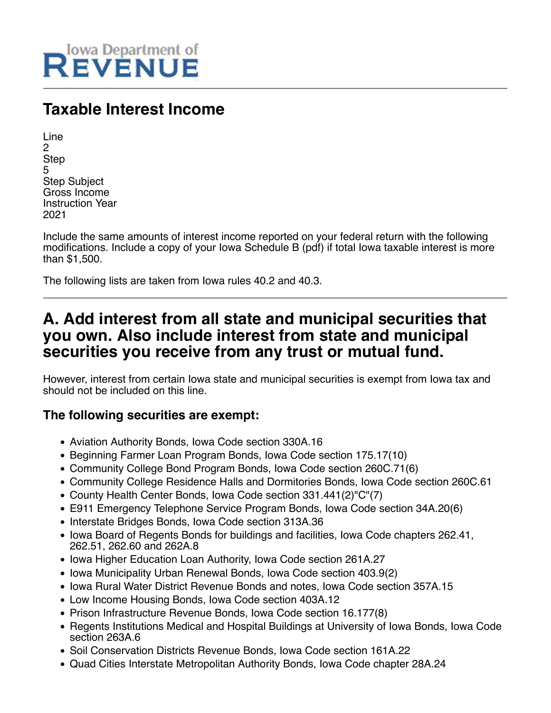

# **Taxable Interest Income**

| Line                    |
|-------------------------|
| 2                       |
| <b>Step</b>             |
| 5                       |
| <b>Step Subject</b>     |
| Gross Income            |
| <b>Instruction Year</b> |
| 2021                    |

Include the same amounts of interest income reported on your federal return with the following modifications. Include a copy of your Iowa Schedule B (pdf) if total Iowa taxable interest is more than \$1,500.

The following lists are taken from Iowa rules 40.2 and 40.3.

## **A. Add interest from all state and municipal securities that you own. Also include interest from state and municipal securities you receive from any trust or mutual fund.**

However, interest from certain Iowa state and municipal securities is exempt from Iowa tax and should not be included on this line.

### **The following securities are exempt:**

- Aviation Authority Bonds, Iowa Code section 330A.16
- Beginning Farmer Loan Program Bonds, Iowa Code section 175.17(10)
- Community College Bond Program Bonds, Iowa Code section 260C.71(6)
- Community College Residence Halls and Dormitories Bonds, Iowa Code section 260C.61
- County Health Center Bonds, Iowa Code section 331.441(2)"C"(7)
- E911 Emergency Telephone Service Program Bonds, Iowa Code section 34A.20(6)
- Interstate Bridges Bonds, Iowa Code section 313A.36
- Iowa Board of Regents Bonds for buildings and facilities, Iowa Code chapters 262.41, 262.51, 262.60 and 262A.8
- Iowa Higher Education Loan Authority, Iowa Code section 261A.27
- Iowa Municipality Urban Renewal Bonds, Iowa Code section 403.9(2)
- Iowa Rural Water District Revenue Bonds and notes, Iowa Code section 357A.15
- Low Income Housing Bonds, Iowa Code section 403A.12
- Prison Infrastructure Revenue Bonds, Iowa Code section 16.177(8)
- Regents Institutions Medical and Hospital Buildings at University of Iowa Bonds, Iowa Code section 263A.6
- Soil Conservation Districts Revenue Bonds, Iowa Code section 161A.22
- Quad Cities Interstate Metropolitan Authority Bonds, Iowa Code chapter 28A.24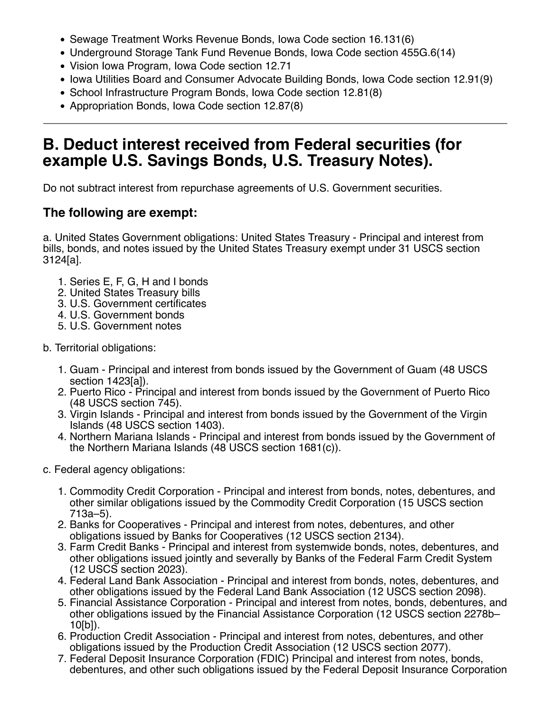- Sewage Treatment Works Revenue Bonds, Iowa Code section 16.131(6)
- Underground Storage Tank Fund Revenue Bonds, Iowa Code section 455G.6(14)
- Vision Iowa Program, Iowa Code section 12.71
- Iowa Utilities Board and Consumer Advocate Building Bonds, Iowa Code section 12.91(9)
- School Infrastructure Program Bonds, Iowa Code section 12.81(8)
- Appropriation Bonds, Iowa Code section 12.87(8)

## **B. Deduct interest received from Federal securities (for example U.S. Savings Bonds, U.S. Treasury Notes).**

Do not subtract interest from repurchase agreements of U.S. Government securities.

### **The following are exempt:**

a. United States Government obligations: United States Treasury - Principal and interest from bills, bonds, and notes issued by the United States Treasury exempt under 31 USCS section 3124[a].

- 1. Series E, F, G, H and I bonds
- 2. United States Treasury bills
- 3. U.S. Government certificates
- 4. U.S. Government bonds
- 5. U.S. Government notes
- b. Territorial obligations:
	- 1. Guam Principal and interest from bonds issued by the Government of Guam (48 USCS section 1423[a]).
	- 2. Puerto Rico Principal and interest from bonds issued by the Government of Puerto Rico (48 USCS section 745).
	- 3. Virgin Islands Principal and interest from bonds issued by the Government of the Virgin Islands (48 USCS section 1403).
	- 4. Northern Mariana Islands Principal and interest from bonds issued by the Government of the Northern Mariana Islands (48 USCS section 1681(c)).
- c. Federal agency obligations:
	- 1. Commodity Credit Corporation Principal and interest from bonds, notes, debentures, and other similar obligations issued by the Commodity Credit Corporation (15 USCS section 713a–5).
	- 2. Banks for Cooperatives Principal and interest from notes, debentures, and other obligations issued by Banks for Cooperatives (12 USCS section 2134).
	- 3. Farm Credit Banks Principal and interest from systemwide bonds, notes, debentures, and other obligations issued jointly and severally by Banks of the Federal Farm Credit System (12 USCS section 2023).
	- 4. Federal Land Bank Association Principal and interest from bonds, notes, debentures, and other obligations issued by the Federal Land Bank Association (12 USCS section 2098).
	- 5. Financial Assistance Corporation Principal and interest from notes, bonds, debentures, and other obligations issued by the Financial Assistance Corporation (12 USCS section 2278b– 10[b]).
	- 6. Production Credit Association Principal and interest from notes, debentures, and other obligations issued by the Production Credit Association (12 USCS section 2077).
	- 7. Federal Deposit Insurance Corporation (FDIC) Principal and interest from notes, bonds, debentures, and other such obligations issued by the Federal Deposit Insurance Corporation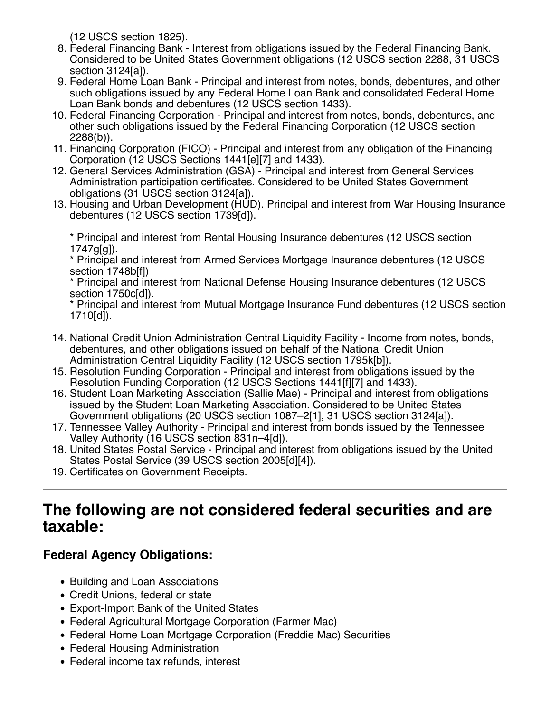(12 USCS section 1825).

- 8. Federal Financing Bank Interest from obligations issued by the Federal Financing Bank. Considered to be United States Government obligations (12 USCS section 2288, 31 USCS section 3124[a]).
- 9. Federal Home Loan Bank Principal and interest from notes, bonds, debentures, and other such obligations issued by any Federal Home Loan Bank and consolidated Federal Home Loan Bank bonds and debentures (12 USCS section 1433).
- 10. Federal Financing Corporation Principal and interest from notes, bonds, debentures, and other such obligations issued by the Federal Financing Corporation (12 USCS section 2288(b)).
- 11. Financing Corporation (FICO) Principal and interest from any obligation of the Financing Corporation (12 USCS Sections 1441[e][7] and 1433).
- 12. General Services Administration (GSA) Principal and interest from General Services Administration participation certificates. Considered to be United States Government obligations (31 USCS section 3124[a]).
- 13. Housing and Urban Development (HUD). Principal and interest from War Housing Insurance debentures (12 USCS section 1739[d]).

\* Principal and interest from Rental Housing Insurance debentures (12 USCS section 1747g[g]).

\* Principal and interest from Armed Services Mortgage Insurance debentures (12 USCS section 1748b[f])

\* Principal and interest from National Defense Housing Insurance debentures (12 USCS section 1750c[d]).

\* Principal and interest from Mutual Mortgage Insurance Fund debentures (12 USCS section 1710[d]).

- 14. National Credit Union Administration Central Liquidity Facility Income from notes, bonds, debentures, and other obligations issued on behalf of the National Credit Union Administration Central Liquidity Facility (12 USCS section 1795k[b]).
- 15. Resolution Funding Corporation Principal and interest from obligations issued by the Resolution Funding Corporation (12 USCS Sections 1441[f][7] and 1433).
- 16. Student Loan Marketing Association (Sallie Mae) Principal and interest from obligations issued by the Student Loan Marketing Association. Considered to be United States Government obligations (20 USCS section 1087–2[1], 31 USCS section 3124[a]).
- 17. Tennessee Valley Authority Principal and interest from bonds issued by the Tennessee Valley Authority (16 USCS section 831n–4[d]).
- 18. United States Postal Service Principal and interest from obligations issued by the United States Postal Service (39 USCS section 2005[d][4]).
- 19. Certificates on Government Receipts.

## **The following are not considered federal securities and are taxable:**

### **Federal Agency Obligations:**

- Building and Loan Associations
- Credit Unions, federal or state
- Export-Import Bank of the United States
- Federal Agricultural Mortgage Corporation (Farmer Mac)
- Federal Home Loan Mortgage Corporation (Freddie Mac) Securities
- Federal Housing Administration
- Federal income tax refunds, interest